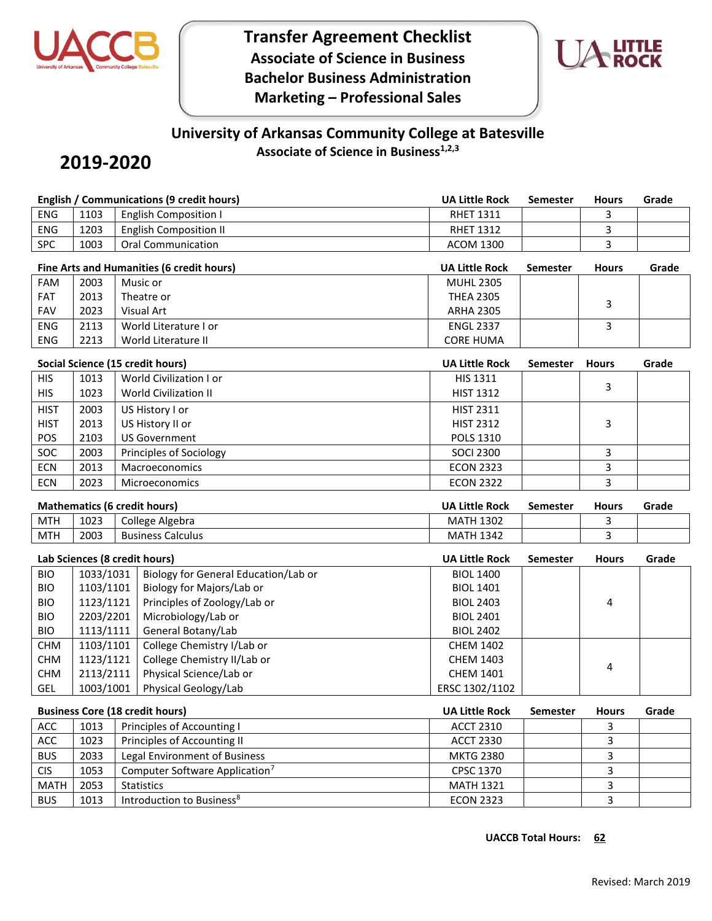

**Transfer Agreement Checklist Associate of Science in Business Bachelor Business Administration Marketing – Professional Sales**



## **University of Arkansas Community College at Batesville Associate of Science in Business1,2,3**

## **2019-2020**

|             | <b>English / Communications (9 credit hours)</b> |                                                                                                 |                       | <b>Semester</b> | <b>Hours</b>   | Grade |
|-------------|--------------------------------------------------|-------------------------------------------------------------------------------------------------|-----------------------|-----------------|----------------|-------|
| <b>ENG</b>  | 1103                                             | <b>English Composition I</b>                                                                    | <b>RHET 1311</b>      |                 | 3              |       |
| <b>ENG</b>  | 1203                                             | <b>English Composition II</b>                                                                   | <b>RHET 1312</b>      |                 | 3              |       |
| <b>SPC</b>  | 1003                                             | <b>Oral Communication</b>                                                                       | <b>ACOM 1300</b>      |                 | 3              |       |
|             |                                                  | Fine Arts and Humanities (6 credit hours)                                                       | <b>UA Little Rock</b> | <b>Semester</b> | <b>Hours</b>   | Grade |
| FAM         | 2003                                             | Music or                                                                                        | <b>MUHL 2305</b>      |                 |                |       |
| <b>FAT</b>  | 2013                                             | Theatre or                                                                                      | <b>THEA 2305</b>      |                 |                |       |
| FAV         | 2023                                             | <b>Visual Art</b>                                                                               | <b>ARHA 2305</b>      |                 | 3              |       |
| <b>ENG</b>  | 2113                                             | World Literature I or                                                                           | <b>ENGL 2337</b>      |                 | 3              |       |
| <b>ENG</b>  | 2213                                             | World Literature II                                                                             | <b>CORE HUMA</b>      |                 |                |       |
|             |                                                  |                                                                                                 | <b>UA Little Rock</b> |                 |                |       |
|             | Social Science (15 credit hours)                 |                                                                                                 |                       | Semester        | <b>Hours</b>   | Grade |
| <b>HIS</b>  | 1013                                             | World Civilization I or                                                                         | HIS 1311              |                 | 3              |       |
| <b>HIS</b>  | 1023                                             | <b>World Civilization II</b>                                                                    | <b>HIST 1312</b>      |                 |                |       |
| <b>HIST</b> | 2003                                             | US History I or                                                                                 | <b>HIST 2311</b>      |                 |                |       |
| <b>HIST</b> | 2013                                             | US History II or                                                                                | <b>HIST 2312</b>      |                 | 3              |       |
| POS         | 2103                                             | <b>US Government</b>                                                                            | POLS 1310             |                 |                |       |
| SOC         | 2003                                             | Principles of Sociology                                                                         | <b>SOCI 2300</b>      |                 | 3              |       |
| <b>ECN</b>  | 2013                                             | Macroeconomics                                                                                  | <b>ECON 2323</b>      |                 | 3              |       |
| <b>ECN</b>  | 2023                                             | Microeconomics                                                                                  | <b>ECON 2322</b>      |                 | 3              |       |
|             |                                                  | <b>Mathematics (6 credit hours)</b><br><b>UA Little Rock</b><br><b>Semester</b><br><b>Hours</b> |                       |                 |                | Grade |
| <b>MTH</b>  | 1023                                             | College Algebra                                                                                 | <b>MATH 1302</b>      |                 | 3              |       |
| <b>MTH</b>  | 2003                                             | <b>Business Calculus</b>                                                                        | <b>MATH 1342</b>      |                 | $\overline{3}$ |       |
|             |                                                  | Lab Sciences (8 credit hours)                                                                   | <b>UA Little Rock</b> | <b>Semester</b> | <b>Hours</b>   | Grade |
| <b>BIO</b>  | 1033/1031                                        | Biology for General Education/Lab or                                                            | <b>BIOL 1400</b>      |                 |                |       |
| <b>BIO</b>  | 1103/1101                                        | Biology for Majors/Lab or                                                                       | <b>BIOL 1401</b>      |                 |                |       |
| <b>BIO</b>  | 1123/1121                                        | Principles of Zoology/Lab or                                                                    | <b>BIOL 2403</b>      |                 | 4              |       |
| <b>BIO</b>  | 2203/2201                                        | Microbiology/Lab or                                                                             | <b>BIOL 2401</b>      |                 |                |       |
| <b>BIO</b>  | 1113/1111                                        | General Botany/Lab                                                                              | <b>BIOL 2402</b>      |                 |                |       |
| <b>CHM</b>  | 1103/1101                                        | College Chemistry I/Lab or                                                                      | <b>CHEM 1402</b>      |                 |                |       |
| <b>CHM</b>  | 1123/1121                                        | College Chemistry II/Lab or                                                                     | <b>CHEM 1403</b>      |                 | 4              |       |
| <b>CHM</b>  | 2113/2111                                        | Physical Science/Lab or                                                                         | <b>CHEM 1401</b>      |                 |                |       |
| GEL         | 1003/1001                                        | Physical Geology/Lab                                                                            | ERSC 1302/1102        |                 |                |       |
|             | <b>Business Core (18 credit hours)</b>           |                                                                                                 |                       | Semester        | <b>Hours</b>   | Grade |
| ACC         | 1013                                             | Principles of Accounting I                                                                      | <b>ACCT 2310</b>      |                 | 3              |       |
| ACC         | 1023                                             | Principles of Accounting II                                                                     | <b>ACCT 2330</b>      |                 | 3              |       |
| <b>BUS</b>  | 2033                                             | Legal Environment of Business                                                                   | <b>MKTG 2380</b>      |                 | 3              |       |
| <b>CIS</b>  | 1053                                             | Computer Software Application <sup>7</sup>                                                      | CPSC 1370             |                 | 3              |       |

MATH 2053 Statistics MATH 1321 3 BUS 1013 Introduction to Business<sup>8</sup> exercise the contract of the ECON 2323 and the state of the state of the state of the state of the state of the state of the state of the state of the state of the state of the state of